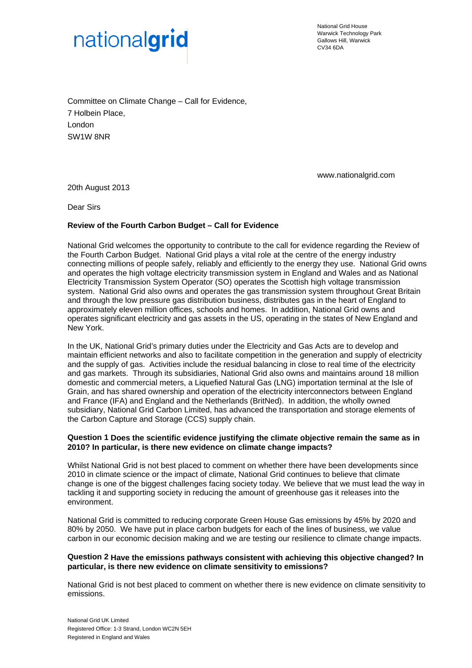

National Grid House Warwick Technology Park Gallows Hill, Warwick CV34 6DA

Committee on Climate Change – Call for Evidence, 7 Holbein Place, London SW1W 8NR

www.nationalgrid.com

20th August 2013

Dear Sirs

### **Review of the Fourth Carbon Budget – Call for Evidence**

National Grid welcomes the opportunity to contribute to the call for evidence regarding the Review of the Fourth Carbon Budget. National Grid plays a vital role at the centre of the energy industry connecting millions of people safely, reliably and efficiently to the energy they use. National Grid owns and operates the high voltage electricity transmission system in England and Wales and as National Electricity Transmission System Operator (SO) operates the Scottish high voltage transmission system. National Grid also owns and operates the gas transmission system throughout Great Britain and through the low pressure gas distribution business, distributes gas in the heart of England to approximately eleven million offices, schools and homes. In addition, National Grid owns and operates significant electricity and gas assets in the US, operating in the states of New England and New York.

In the UK, National Grid's primary duties under the Electricity and Gas Acts are to develop and maintain efficient networks and also to facilitate competition in the generation and supply of electricity and the supply of gas. Activities include the residual balancing in close to real time of the electricity and gas markets. Through its subsidiaries, National Grid also owns and maintains around 18 million domestic and commercial meters, a Liquefied Natural Gas (LNG) importation terminal at the Isle of Grain, and has shared ownership and operation of the electricity interconnectors between England and France (IFA) and England and the Netherlands (BritNed). In addition, the wholly owned subsidiary, National Grid Carbon Limited, has advanced the transportation and storage elements of the Carbon Capture and Storage (CCS) supply chain.

## **Question 1 Does the scientific evidence justifying the climate objective remain the same as in 2010? In particular, is there new evidence on climate change impacts?**

Whilst National Grid is not best placed to comment on whether there have been developments since 2010 in climate science or the impact of climate, National Grid continues to believe that climate change is one of the biggest challenges facing society today. We believe that we must lead the way in tackling it and supporting society in reducing the amount of greenhouse gas it releases into the environment.

National Grid is committed to reducing corporate Green House Gas emissions by 45% by 2020 and 80% by 2050. We have put in place carbon budgets for each of the lines of business, we value carbon in our economic decision making and we are testing our resilience to climate change impacts.

#### **Question 2 Have the emissions pathways consistent with achieving this objective changed? In particular, is there new evidence on climate sensitivity to emissions?**

National Grid is not best placed to comment on whether there is new evidence on climate sensitivity to emissions.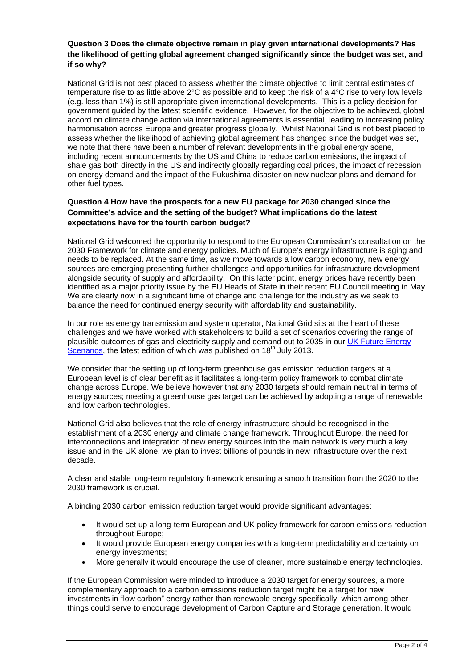## **Question 3 Does the climate objective remain in play given international developments? Has the likelihood of getting global agreement changed significantly since the budget was set, and if so why?**

National Grid is not best placed to assess whether the climate objective to limit central estimates of temperature rise to as little above 2°C as possible and to keep the risk of a 4°C rise to very low levels (e.g. less than 1%) is still appropriate given international developments. This is a policy decision for government guided by the latest scientific evidence. However, for the objective to be achieved, global accord on climate change action via international agreements is essential, leading to increasing policy harmonisation across Europe and greater progress globally. Whilst National Grid is not best placed to assess whether the likelihood of achieving global agreement has changed since the budget was set, we note that there have been a number of relevant developments in the global energy scene, including recent announcements by the US and China to reduce carbon emissions, the impact of shale gas both directly in the US and indirectly globally regarding coal prices, the impact of recession on energy demand and the impact of the Fukushima disaster on new nuclear plans and demand for other fuel types.

# **Question 4 How have the prospects for a new EU package for 2030 changed since the Committee's advice and the setting of the budget? What implications do the latest expectations have for the fourth carbon budget?**

National Grid welcomed the opportunity to respond to the European Commission's consultation on the 2030 Framework for climate and energy policies. Much of Europe's energy infrastructure is aging and needs to be replaced. At the same time, as we move towards a low carbon economy, new energy sources are emerging presenting further challenges and opportunities for infrastructure development alongside security of supply and affordability. On this latter point, energy prices have recently been identified as a major priority issue by the EU Heads of State in their recent EU Council meeting in May. We are clearly now in a significant time of change and challenge for the industry as we seek to balance the need for continued energy security with affordability and sustainability.

In our role as energy transmission and system operator, National Grid sits at the heart of these challenges and we have worked with stakeholders to build a set of scenarios covering the range of plausible outcomes of gas and electricity supply and demand out to 2035 in our [UK Future Energy](http://www.nationalgrid.com/NR/rdonlyres/2450AADD-FBA3-49C1-8D63-7160A081C1F2/61591/UKFES2013FINAL2.pdf)  [Scenarios,](http://www.nationalgrid.com/NR/rdonlyres/2450AADD-FBA3-49C1-8D63-7160A081C1F2/61591/UKFES2013FINAL2.pdf) the latest edition of which was published on 18<sup>th</sup> July 2013.

We consider that the setting up of long-term greenhouse gas emission reduction targets at a European level is of clear benefit as it facilitates a long-term policy framework to combat climate change across Europe. We believe however that any 2030 targets should remain neutral in terms of energy sources; meeting a greenhouse gas target can be achieved by adopting a range of renewable and low carbon technologies.

National Grid also believes that the role of energy infrastructure should be recognised in the establishment of a 2030 energy and climate change framework. Throughout Europe, the need for interconnections and integration of new energy sources into the main network is very much a key issue and in the UK alone, we plan to invest billions of pounds in new infrastructure over the next decade.

A clear and stable long-term regulatory framework ensuring a smooth transition from the 2020 to the 2030 framework is crucial.

A binding 2030 carbon emission reduction target would provide significant advantages:

- It would set up a long-term European and UK policy framework for carbon emissions reduction throughout Europe;
- It would provide European energy companies with a long-term predictability and certainty on energy investments;
- More generally it would encourage the use of cleaner, more sustainable energy technologies.

If the European Commission were minded to introduce a 2030 target for energy sources, a more complementary approach to a carbon emissions reduction target might be a target for new investments in "low carbon" energy rather than renewable energy specifically, which among other things could serve to encourage development of Carbon Capture and Storage generation. It would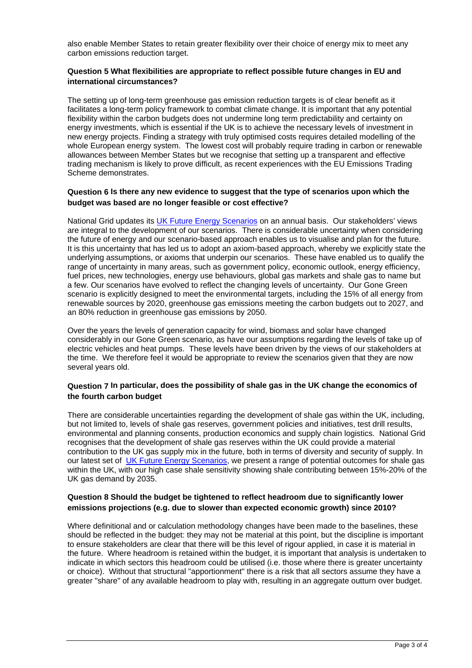also enable Member States to retain greater flexibility over their choice of energy mix to meet any carbon emissions reduction target.

## **Question 5 What flexibilities are appropriate to reflect possible future changes in EU and international circumstances?**

The setting up of long-term greenhouse gas emission reduction targets is of clear benefit as it facilitates a long-term policy framework to combat climate change. It is important that any potential flexibility within the carbon budgets does not undermine long term predictability and certainty on energy investments, which is essential if the UK is to achieve the necessary levels of investment in new energy projects. Finding a strategy with truly optimised costs requires detailed modelling of the whole European energy system. The lowest cost will probably require trading in carbon or renewable allowances between Member States but we recognise that setting up a transparent and effective trading mechanism is likely to prove difficult, as recent experiences with the EU Emissions Trading Scheme demonstrates.

# **Question 6 Is there any new evidence to suggest that the type of scenarios upon which the budget was based are no longer feasible or cost effective?**

National Grid updates its [UK Future Energy Scenarios](http://www.nationalgrid.com/NR/rdonlyres/2450AADD-FBA3-49C1-8D63-7160A081C1F2/61591/UKFES2013FINAL2.pdf) on an annual basis. Our stakeholders' views are integral to the development of our scenarios. There is considerable uncertainty when considering the future of energy and our scenario-based approach enables us to visualise and plan for the future. It is this uncertainty that has led us to adopt an axiom-based approach, whereby we explicitly state the underlying assumptions, or axioms that underpin our scenarios. These have enabled us to qualify the range of uncertainty in many areas, such as government policy, economic outlook, energy efficiency, fuel prices, new technologies, energy use behaviours, global gas markets and shale gas to name but a few. Our scenarios have evolved to reflect the changing levels of uncertainty. Our Gone Green scenario is explicitly designed to meet the environmental targets, including the 15% of all energy from renewable sources by 2020, greenhouse gas emissions meeting the carbon budgets out to 2027, and an 80% reduction in greenhouse gas emissions by 2050.

Over the years the levels of generation capacity for wind, biomass and solar have changed considerably in our Gone Green scenario, as have our assumptions regarding the levels of take up of electric vehicles and heat pumps. These levels have been driven by the views of our stakeholders at the time. We therefore feel it would be appropriate to review the scenarios given that they are now several years old.

# **Question 7 In particular, does the possibility of shale gas in the UK change the economics of the fourth carbon budget**

There are considerable uncertainties regarding the development of shale gas within the UK, including, but not limited to, levels of shale gas reserves, government policies and initiatives, test drill results, environmental and planning consents, production economics and supply chain logistics. National Grid recognises that the development of shale gas reserves within the UK could provide a material contribution to the UK gas supply mix in the future, both in terms of diversity and security of supply. In our latest set of [UK Future Energy Scenarios,](http://www.nationalgrid.com/NR/rdonlyres/2450AADD-FBA3-49C1-8D63-7160A081C1F2/61591/UKFES2013FINAL2.pdf) we present a range of potential outcomes for shale gas within the UK, with our high case shale sensitivity showing shale contributing between 15%-20% of the UK gas demand by 2035.

# **Question 8 Should the budget be tightened to reflect headroom due to significantly lower emissions projections (e.g. due to slower than expected economic growth) since 2010?**

Where definitional and or calculation methodology changes have been made to the baselines, these should be reflected in the budget: they may not be material at this point, but the discipline is important to ensure stakeholders are clear that there will be this level of rigour applied, in case it is material in the future. Where headroom is retained within the budget, it is important that analysis is undertaken to indicate in which sectors this headroom could be utilised (i.e. those where there is greater uncertainty or choice). Without that structural "apportionment" there is a risk that all sectors assume they have a greater "share" of any available headroom to play with, resulting in an aggregate outturn over budget.